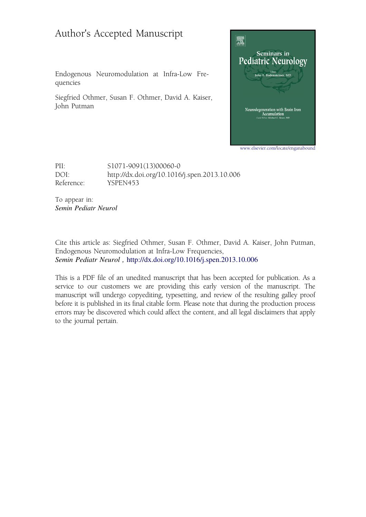# Author's Accepted Manuscript

Endogenous Neuromodulation at Infra-Low Frequencies

Siegfried Othmer, Susan F. Othmer, David A. Kaiser, John Putman



www.elsevier.com/locate/enganabound

PII: S1071-9091(13)00060-0 DOI: http://dx.doi.org/10.1016/j.spen.2013.10.006 Reference: YSPEN453

To appear in: Semin Pediatr Neurol

Cite this article as: Siegfried Othmer, Susan F. Othmer, David A. Kaiser, John Putman, Endogenous Neuromodulation at Infra-Low Frequencies, Semin Pediatr Neurol , http://dx.doi.org/10.1016/j.spen.2013.10.006

This is a PDF file of an unedited manuscript that has been accepted for publication. As a service to our customers we are providing this early version of the manuscript. The manuscript will undergo copyediting, typesetting, and review of the resulting galley proof before it is published in its final citable form. Please note that during the production process errors may be discovered which could affect the content, and all legal disclaimers that apply to the journal pertain.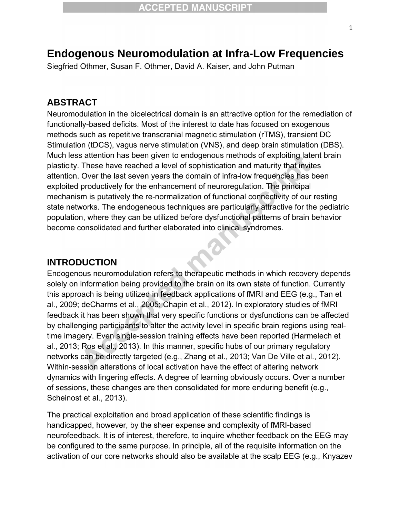# **Endogenous Neuromodulation at Infra-Low Frequencies**

Siegfried Othmer, Susan F. Othmer, David A. Kaiser, and John Putman

# **ABSTRACT**

Neuromodulation in the bioelectrical domain is an attractive option for the remediation of functionally-based deficits. Most of the interest to date has focused on exogenous methods such as repetitive transcranial magnetic stimulation (rTMS), transient DC Stimulation (tDCS), vagus nerve stimulation (VNS), and deep brain stimulation (DBS). Much less attention has been given to endogenous methods of exploiting latent brain plasticity. These have reached a level of sophistication and maturity that invites attention. Over the last seven years the domain of infra-low frequencies has been exploited productively for the enhancement of neuroregulation. The principal mechanism is putatively the re-normalization of functional connectivity of our resting state networks. The endogeneous techniques are particularly attractive for the pediatric population, where they can be utilized before dysfunctional patterns of brain behavior become consolidated and further elaborated into clinical syndromes.

# **INTRODUCTION**

Endogenous neuromodulation refers to therapeutic methods in which recovery depends solely on information being provided to the brain on its own state of function. Currently this approach is being utilized in feedback applications of fMRI and EEG (e.g., Tan et al., 2009; deCharms et al., 2005; Chapin et al., 2012). In exploratory studies of fMRI feedback it has been shown that very specific functions or dysfunctions can be affected by challenging participants to alter the activity level in specific brain regions using realtime imagery. Even single-session training effects have been reported (Harmelech et al., 2013; Ros et al., 2013). In this manner, specific hubs of our primary regulatory networks can be directly targeted (e.g., Zhang et al., 2013; Van De Ville et al., 2012). Within-session alterations of local activation have the effect of altering network dynamics with lingering effects. A degree of learning obviously occurs. Over a number of sessions, these changes are then consolidated for more enduring benefit (e.g., Scheinost et al., 2013).

The practical exploitation and broad application of these scientific findings is handicapped, however, by the sheer expense and complexity of fMRI-based neurofeedback. It is of interest, therefore, to inquire whether feedback on the EEG may be configured to the same purpose. In principle, all of the requisite information on the activation of our core networks should also be available at the scalp EEG (e.g., Knyazev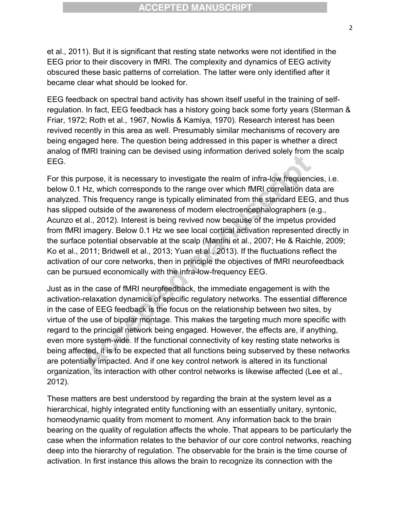et al., 2011). But it is significant that resting state networks were not identified in the EEG prior to their discovery in fMRI. The complexity and dynamics of EEG activity obscured these basic patterns of correlation. The latter were only identified after it became clear what should be looked for.

EEG feedback on spectral band activity has shown itself useful in the training of selfregulation. In fact, EEG feedback has a history going back some forty years (Sterman & Friar, 1972; Roth et al., 1967, Nowlis & Kamiya, 1970). Research interest has been revived recently in this area as well. Presumably similar mechanisms of recovery are being engaged here. The question being addressed in this paper is whether a direct analog of fMRI training can be devised using information derived solely from the scalp EEG.

For this purpose, it is necessary to investigate the realm of infra-low frequencies, i.e. below 0.1 Hz, which corresponds to the range over which fMRI correlation data are analyzed. This frequency range is typically eliminated from the standard EEG, and thus has slipped outside of the awareness of modern electroencephalographers (e.g., Acunzo et al., 2012). Interest is being revived now because of the impetus provided from fMRI imagery. Below 0.1 Hz we see local cortical activation represented directly in the surface potential observable at the scalp (Mantini et al., 2007; He & Raichle, 2009; Ko et al., 2011; Bridwell et al., 2013; Yuan et al., 2013). If the fluctuations reflect the activation of our core networks, then in principle the objectives of fMRI neurofeedback can be pursued economically with the infra-low-frequency EEG.

Just as in the case of fMRI neurofeedback, the immediate engagement is with the activation-relaxation dynamics of specific regulatory networks. The essential difference in the case of EEG feedback is the focus on the relationship between two sites, by virtue of the use of bipolar montage. This makes the targeting much more specific with regard to the principal network being engaged. However, the effects are, if anything, even more system-wide. If the functional connectivity of key resting state networks is being affected, it is to be expected that all functions being subserved by these networks are potentially impacted. And if one key control network is altered in its functional organization, its interaction with other control networks is likewise affected (Lee et al., 2012).

These matters are best understood by regarding the brain at the system level as a hierarchical, highly integrated entity functioning with an essentially unitary, syntonic, homeodynamic quality from moment to moment. Any information back to the brain bearing on the quality of regulation affects the whole. That appears to be particularly the case when the information relates to the behavior of our core control networks, reaching deep into the hierarchy of regulation. The observable for the brain is the time course of activation. In first instance this allows the brain to recognize its connection with the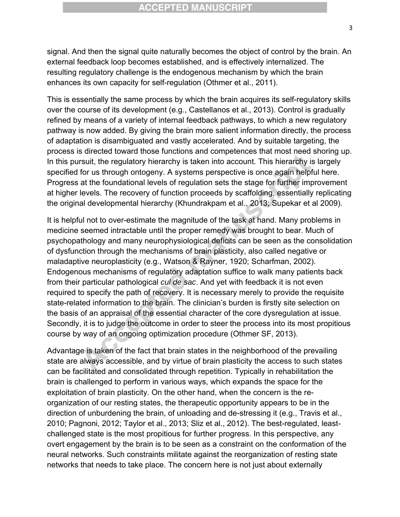signal. And then the signal quite naturally becomes the object of control by the brain. An external feedback loop becomes established, and is effectively internalized. The resulting regulatory challenge is the endogenous mechanism by which the brain enhances its own capacity for self-regulation (Othmer et al., 2011).

This is essentially the same process by which the brain acquires its self-regulatory skills over the course of its development (e.g., Castellanos et al., 2013). Control is gradually refined by means of a variety of internal feedback pathways, to which a new regulatory pathway is now added. By giving the brain more salient information directly, the process of adaptation is disambiguated and vastly accelerated. And by suitable targeting, the process is directed toward those functions and competences that most need shoring up. In this pursuit, the regulatory hierarchy is taken into account. This hierarchy is largely specified for us through ontogeny. A systems perspective is once again helpful here. Progress at the foundational levels of regulation sets the stage for further improvement at higher levels. The recovery of function proceeds by scaffolding, essentially replicating the original developmental hierarchy (Khundrakpam et al., 2013; Supekar et al 2009).

It is helpful not to over-estimate the magnitude of the task at hand. Many problems in medicine seemed intractable until the proper remedy was brought to bear. Much of psychopathology and many neurophysiological deficits can be seen as the consolidation of dysfunction through the mechanisms of brain plasticity, also called negative or maladaptive neuroplasticity (e.g., Watson & Rayner, 1920; Scharfman, 2002). Endogenous mechanisms of regulatory adaptation suffice to walk many patients back from their particular pathological *cul de sac*. And yet with feedback it is not even required to specify the path of recovery. It is necessary merely to provide the requisite state-related information to the brain. The clinician's burden is firstly site selection on the basis of an appraisal of the essential character of the core dysregulation at issue. Secondly, it is to judge the outcome in order to steer the process into its most propitious course by way of an ongoing optimization procedure (Othmer SF, 2013).

Advantage is taken of the fact that brain states in the neighborhood of the prevailing state are always accessible, and by virtue of brain plasticity the access to such states can be facilitated and consolidated through repetition. Typically in rehabilitation the brain is challenged to perform in various ways, which expands the space for the exploitation of brain plasticity. On the other hand, when the concern is the reorganization of our resting states, the therapeutic opportunity appears to be in the direction of unburdening the brain, of unloading and de-stressing it (e.g., Travis et al., 2010; Pagnoni, 2012; Taylor et al., 2013; Sliz et al., 2012). The best-regulated, leastchallenged state is the most propitious for further progress. In this perspective, any overt engagement by the brain is to be seen as a constraint on the conformation of the neural networks. Such constraints militate against the reorganization of resting state networks that needs to take place. The concern here is not just about externally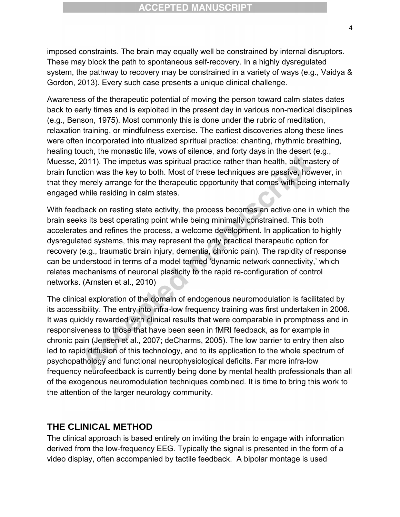imposed constraints. The brain may equally well be constrained by internal disruptors. These may block the path to spontaneous self-recovery. In a highly dysregulated system, the pathway to recovery may be constrained in a variety of ways (e.g., Vaidya & Gordon, 2013). Every such case presents a unique clinical challenge.

Awareness of the therapeutic potential of moving the person toward calm states dates back to early times and is exploited in the present day in various non-medical disciplines (e.g., Benson, 1975). Most commonly this is done under the rubric of meditation, relaxation training, or mindfulness exercise. The earliest discoveries along these lines were often incorporated into ritualized spiritual practice: chanting, rhythmic breathing, healing touch, the monastic life, vows of silence, and forty days in the desert (e.g., Muesse, 2011). The impetus was spiritual practice rather than health, but mastery of brain function was the key to both. Most of these techniques are passive, however, in that they merely arrange for the therapeutic opportunity that comes with being internally engaged while residing in calm states.

With feedback on resting state activity, the process becomes an active one in which the brain seeks its best operating point while being minimally constrained. This both accelerates and refines the process, a welcome development. In application to highly dysregulated systems, this may represent the only practical therapeutic option for recovery (e.g., traumatic brain injury, dementia, chronic pain). The rapidity of response can be understood in terms of a model termed 'dynamic network connectivity,' which relates mechanisms of neuronal plasticity to the rapid re-configuration of control networks. (Arnsten et al., 2010)

The clinical exploration of the domain of endogenous neuromodulation is facilitated by its accessibility. The entry into infra-low frequency training was first undertaken in 2006. It was quickly rewarded with clinical results that were comparable in promptness and in responsiveness to those that have been seen in fMRI feedback, as for example in chronic pain (Jensen et al., 2007; deCharms, 2005). The low barrier to entry then also led to rapid diffusion of this technology, and to its application to the whole spectrum of psychopathology and functional neurophysiological deficits. Far more infra-low frequency neurofeedback is currently being done by mental health professionals than all of the exogenous neuromodulation techniques combined. It is time to bring this work to the attention of the larger neurology community.

# **THE CLINICAL METHOD**

The clinical approach is based entirely on inviting the brain to engage with information derived from the low-frequency EEG. Typically the signal is presented in the form of a video display, often accompanied by tactile feedback. A bipolar montage is used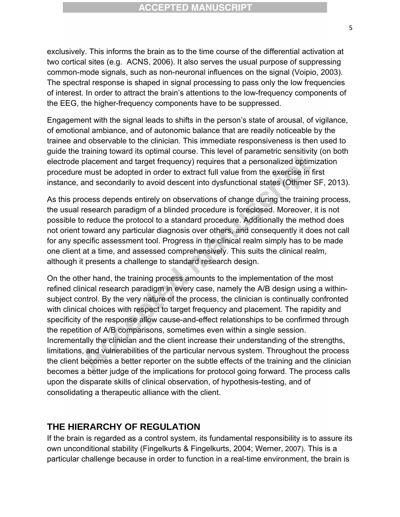exclusively. This informs the brain as to the time course of the differential activation at two cortical sites (e.g. ACNS, 2006). It also serves the usual purpose of suppressing common-mode signals, such as non-neuronal influences on the signal (Voipio, 2003). The spectral response is shaped in signal processing to pass only the low frequencies of interest. In order to attract the brain's attentions to the low-frequency components of the EEG, the higher-frequency components have to be suppressed.

Engagement with the signal leads to shifts in the person's state of arousal, of vigilance, of emotional ambiance, and of autonomic balance that are readily noticeable by the trainee and observable to the clinician. This immediate responsiveness is then used to guide the training toward its optimal course. This level of parametric sensitivity (on both electrode placement and target frequency) requires that a personalized optimization procedure must be adopted in order to extract full value from the exercise in first instance, and secondarily to avoid descent into dysfunctional states (Othmer SF, 2013).

As this process depends entirely on observations of change during the training process, the usual research paradigm of a blinded procedure is foreclosed. Moreover, it is not possible to reduce the protocol to a standard procedure. Additionally the method does not orient toward any particular diagnosis over others, and consequently it does not call for any specific assessment tool. Progress in the clinical realm simply has to be made one client at a time, and assessed comprehensively. This suits the clinical realm, although it presents a challenge to standard research design.

On the other hand, the training process amounts to the implementation of the most refined clinical research paradigm in every case, namely the A/B design using a withinsubject control. By the very nature of the process, the clinician is continually confronted with clinical choices with respect to target frequency and placement. The rapidity and specificity of the response allow cause-and-effect relationships to be confirmed through the repetition of A/B comparisons, sometimes even within a single session. Incrementally the clinician and the client increase their understanding of the strengths, limitations, and vulnerabilities of the particular nervous system. Throughout the process the client becomes a better reporter on the subtle effects of the training and the clinician becomes a better judge of the implications for protocol going forward. The process calls upon the disparate skills of clinical observation, of hypothesis-testing, and of consolidating a therapeutic alliance with the client.

## **THE HIERARCHY OF REGULATION**

If the brain is regarded as a control system, its fundamental responsibility is to assure its own unconditional stability (Fingelkurts & Fingelkurts, 2004; Werner, 2007). This is a particular challenge because in order to function in a real-time environment, the brain is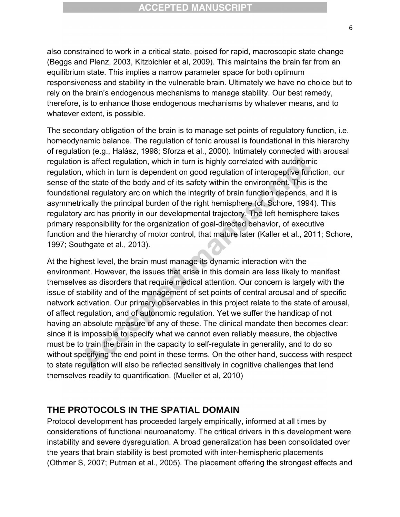also constrained to work in a critical state, poised for rapid, macroscopic state change (Beggs and Plenz, 2003, Kitzbichler et al, 2009). This maintains the brain far from an equilibrium state. This implies a narrow parameter space for both optimum responsiveness and stability in the vulnerable brain. Ultimately we have no choice but to rely on the brain's endogenous mechanisms to manage stability. Our best remedy, therefore, is to enhance those endogenous mechanisms by whatever means, and to whatever extent, is possible.

The secondary obligation of the brain is to manage set points of regulatory function, i.e. homeodynamic balance. The regulation of tonic arousal is foundational in this hierarchy of regulation (e.g., Halász, 1998; Sforza et al., 2000). Intimately connected with arousal regulation is affect regulation, which in turn is highly correlated with autonomic regulation, which in turn is dependent on good regulation of interoceptive function, our sense of the state of the body and of its safety within the environment. This is the foundational regulatory arc on which the integrity of brain function depends, and it is asymmetrically the principal burden of the right hemisphere (cf. Schore, 1994). This regulatory arc has priority in our developmental trajectory. The left hemisphere takes primary responsibility for the organization of goal-directed behavior, of executive function and the hierarchy of motor control, that mature later (Kaller et al., 2011; Schore, 1997; Southgate et al., 2013).

At the highest level, the brain must manage its dynamic interaction with the environment. However, the issues that arise in this domain are less likely to manifest themselves as disorders that require medical attention. Our concern is largely with the issue of stability and of the management of set points of central arousal and of specific network activation. Our primary observables in this project relate to the state of arousal, of affect regulation, and of autonomic regulation. Yet we suffer the handicap of not having an absolute measure of any of these. The clinical mandate then becomes clear: since it is impossible to specify what we cannot even reliably measure, the objective must be to train the brain in the capacity to self-regulate in generality, and to do so without specifying the end point in these terms. On the other hand, success with respect to state regulation will also be reflected sensitively in cognitive challenges that lend themselves readily to quantification. (Mueller et al, 2010)

# **THE PROTOCOLS IN THE SPATIAL DOMAIN**

Protocol development has proceeded largely empirically, informed at all times by considerations of functional neuroanatomy. The critical drivers in this development were instability and severe dysregulation. A broad generalization has been consolidated over the years that brain stability is best promoted with inter-hemispheric placements (Othmer S, 2007; Putman et al., 2005). The placement offering the strongest effects and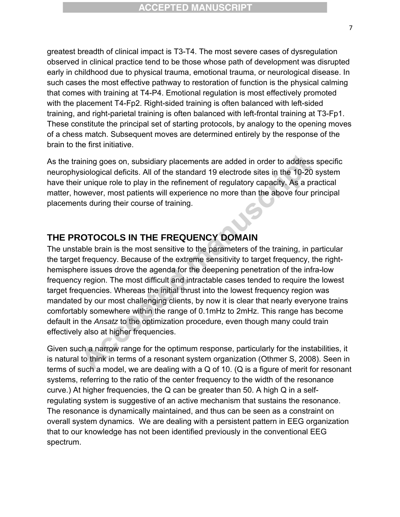greatest breadth of clinical impact is T3-T4. The most severe cases of dysregulation observed in clinical practice tend to be those whose path of development was disrupted early in childhood due to physical trauma, emotional trauma, or neurological disease. In such cases the most effective pathway to restoration of function is the physical calming that comes with training at T4-P4. Emotional regulation is most effectively promoted with the placement T4-Fp2. Right-sided training is often balanced with left-sided training, and right-parietal training is often balanced with left-frontal training at T3-Fp1. These constitute the principal set of starting protocols, by analogy to the opening moves of a chess match. Subsequent moves are determined entirely by the response of the brain to the first initiative.

As the training goes on, subsidiary placements are added in order to address specific neurophysiological deficits. All of the standard 19 electrode sites in the 10-20 system have their unique role to play in the refinement of regulatory capacity. As a practical matter, however, most patients will experience no more than the above four principal placements during their course of training.

# **THE PROTOCOLS IN THE FREQUENCY DOMAIN**

The unstable brain is the most sensitive to the parameters of the training, in particular the target frequency. Because of the extreme sensitivity to target frequency, the righthemisphere issues drove the agenda for the deepening penetration of the infra-low frequency region. The most difficult and intractable cases tended to require the lowest target frequencies. Whereas the initial thrust into the lowest frequency region was mandated by our most challenging clients, by now it is clear that nearly everyone trains comfortably somewhere within the range of 0.1mHz to 2mHz. This range has become default in the *Ansatz* to the optimization procedure, even though many could train effectively also at higher frequencies.

Given such a narrow range for the optimum response, particularly for the instabilities, it is natural to think in terms of a resonant system organization (Othmer S, 2008). Seen in terms of such a model, we are dealing with a Q of 10. (Q is a figure of merit for resonant systems, referring to the ratio of the center frequency to the width of the resonance curve.) At higher frequencies, the Q can be greater than 50. A high Q in a selfregulating system is suggestive of an active mechanism that sustains the resonance. The resonance is dynamically maintained, and thus can be seen as a constraint on overall system dynamics. We are dealing with a persistent pattern in EEG organization that to our knowledge has not been identified previously in the conventional EEG spectrum.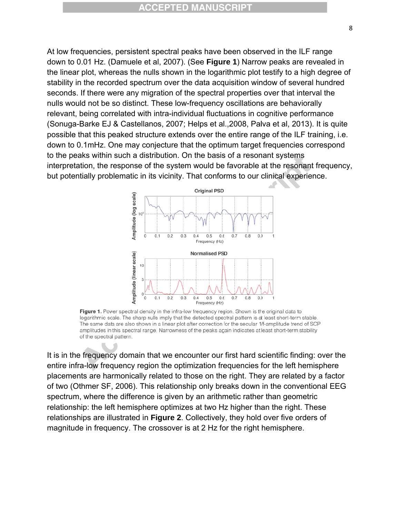At low frequencies, persistent spectral peaks have been observed in the ILF range down to 0.01 Hz. (Damuele et al, 2007). (See Figure 1) Narrow peaks are revealed in the linear plot, whereas the nulls shown in the logarithmic plot testify to a high degree of stability in the recorded spectrum over the data acquisition window of several hundred seconds. If there were any migration of the spectral properties over that interval the nulls would not be so distinct. These low-frequency oscillations are behaviorally relevant, being correlated with intra-individual fluctuations in cognitive performance (Sonuga-Barke EJ & Castellanos, 2007; Helps et al., 2008, Palva et al, 2013). It is quite possible that this peaked structure extends over the entire range of the ILF training, i.e. down to 0.1mHz. One may conjecture that the optimum target frequencies correspond to the peaks within such a distribution. On the basis of a resonant systems interpretation, the response of the system would be favorable at the resonant frequency, but potentially problematic in its vicinity. That conforms to our clinical experience.



Figure 1. Power spectral density in the infra-low frequency region. Shown is the original data to logarithmic scale. The sharp nulls imply that the detected spectral pattern is at least short-term stable. The same data are also shown in a linear plot after correction for the secular 1/f-amplitude trend of SCP amplitudes in this spectral range. Narrowness of the peaks again indicates at least short-term stability of the spectral pattern.

It is in the frequency domain that we encounter our first hard scientific finding: over the entire infra-low frequency region the optimization frequencies for the left hemisphere entire infra-low frequency region the optimization frequencies for the left hemisphere<br>placements are harmonically related to those on the right. They are related by a factor of two (Othmer SF, 2006). This relationship only breaks down in the conventional EEG spectrum, where the difference is given by an arithmetic rather than geometric relationship: the left hemisphere optimizes at two Hz higher than the right. These relationships are illustrated in Figure 2. Collectively, they hold over five orders of magnitude in frequency. The crossover is at 2 Hz for the right hemisphere.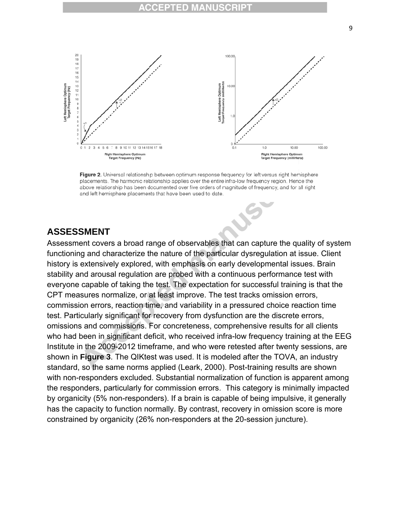

Figure 2. Universal relationship between optimum response frequency for left versus right hemisphere placements. The harmonic relationship applies over the entire infra-low frequency region. Hence the above relationship has been documented over five orders of magnitude of frequency, and for all right and left hemisphere placements that have been used to date.

### **ASSES SSMENT**

Assessment covers a broad range of observables that can capture the quality of system functioning and characterize the nature of the particular dysregulation at issue. Client history is extensively explored, with emphasis on early developmental issues. Brain stability and arousal regulation are probed with a continuous performance test with everyone capable of taking the test. The expectation for successful training is that the CPT measures normalize, or at least improve. The test tracks omission errors, commission errors, reaction time, and variability in a pressured choice reaction time test. Particularly significant for recovery from dysfunction are the discrete errors, omissions and commissions. For concreteness, comprehensive results for all clients omissions and commissions. For concreteness, comprehensive results for all clients<br>who had been in significant deficit, who received infra-low frequency training at the EEG Institute in the 2009-2012 timeframe, and who were retested after twenty sessions, are shown in Figure 3. The QIKtest was used. It is modeled after the TOVA, an industry standard, so the same norms applied (Leark, 2000). Post-training results are shown shown in **Figure 3**. The QIKtest was used. It is modeled after the TOVA, an industry<br>standard, so the same norms applied (Leark, 2000). Post-training results are shown<br>with non-responders excluded. Substantial normalizatio the responders, particularly for commission errors. This category is minimally impacted by organicity (5% non-responders). If a brain is capable of being impulsive, it generally has the capacity to function normally. By contrast, recovery in omission score is more constrained by organicity (26% non-responders at the 20-session juncture).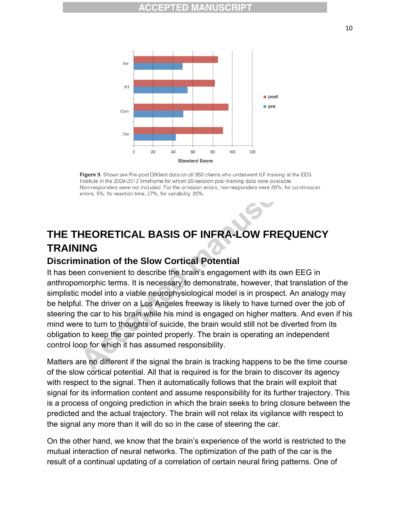### **CCEPTED MA**



Figure 3. Shown are Pre-post QIKtest data on all 350 clients who underwent ILF training at the EEG Institute in the 2009-2012 timeframe for whom 20-session post-training data were available. Non-responders were not included. For the omission errors, non-responders were 26%; for commission errors, 5%; for reaction time, 27%; for variability, 20%.

# **THE T THEORE ETICAL B BASIS O OF INFR RA-LOW FREQU ENCY TRAIN NING**

### **Discrimination of the Slow Cortical Potential**

It has been convenient to describe the brain's engagement with its own EEG in anthropomorphic terms. It is necessary to demonstrate, however, that translation of the simplistic model into a viable neurophysiological model is in prospect. An analogy may be helpful. The driver on a Los Angeles freeway is likely to have turned over the job of steering the car to his brain while his mind is engaged on higher matters. And even if his mind were to turn to thoughts of suicide, the brain would still not be diverted from its obligation to keep the car pointed properly. The brain is operating an independent control loop for which it has assumed responsibility. mind were to turn to thoughts of suicide, the brain would still not be diverted from its<br>obligation to keep the car pointed properly. The brain is operating an independent<br>control loop for which it has assumed responsibili

of the slow cortical potential. All that is required is for the brain to discover its agency with respect to the signal. Then it automatically follows that the brain will exploit that of the slow cortical potential. All that is required is for the brain to discover its agency<br>with respect to the signal. Then it automatically follows that the brain will exploit that<br>signal for its information content and is a process of ongoing prediction in which the brain seeks to bring closure between the predicted and the actual trajectory. The brain will not relax its vigilance with respect to the signal any more than it will do so in the case of steering the car.

On the other hand, we know that the brain's experience of the world is restricted to the mutual interaction of neural networks. The optimization of the path of the car is the result of a continual updating of a correlation of certain neural firing patterns. One of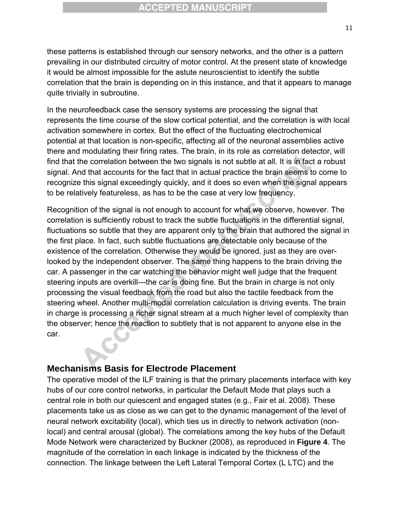these patterns is established through our sensory networks, and the other is a pattern prevailing in our distributed circuitry of motor control. At the present state of knowledge it would be almost impossible for the astute neuroscientist to identify the subtle correlation that the brain is depending on in this instance, and that it appears to manage quite trivially in subroutine.

In the neurofeedback case the sensory systems are processing the signal that represents the time course of the slow cortical potential, and the correlation is with local activation somewhere in cortex. But the effect of the fluctuating electrochemical potential at that location is non-specific, affecting all of the neuronal assemblies active there and modulating their firing rates. The brain, in its role as correlation detector, will find that the correlation between the two signals is not subtle at all. It is in fact a robust signal. And that accounts for the fact that in actual practice the brain seems to come to recognize this signal exceedingly quickly, and it does so even when the signal appears to be relatively featureless, as has to be the case at very low frequency.

Recognition of the signal is not enough to account for what we observe, however. The correlation is sufficiently robust to track the subtle fluctuations in the differential signal, fluctuations so subtle that they are apparent only to the brain that authored the signal in the first place. In fact, such subtle fluctuations are detectable only because of the existence of the correlation. Otherwise they would be ignored, just as they are overlooked by the independent observer. The same thing happens to the brain driving the car. A passenger in the car watching the behavior might well judge that the frequent steering inputs are overkill---the car is doing fine. But the brain in charge is not only processing the visual feedback from the road but also the tactile feedback from the steering wheel. Another multi-modal correlation calculation is driving events. The brain in charge is processing a richer signal stream at a much higher level of complexity than the observer; hence the reaction to subtlety that is not apparent to anyone else in the car.

## **Mechanisms Basis for Electrode Placement**

The operative model of the ILF training is that the primary placements interface with key hubs of our core control networks, in particular the Default Mode that plays such a central role in both our quiescent and engaged states (e.g., Fair et al. 2008). These placements take us as close as we can get to the dynamic management of the level of neural network excitability (local), which ties us in directly to network activation (nonlocal) and central arousal (global). The correlations among the key hubs of the Default Mode Network were characterized by Buckner (2008), as reproduced in **Figure 4**. The magnitude of the correlation in each linkage is indicated by the thickness of the connection. The linkage between the Left Lateral Temporal Cortex (L LTC) and the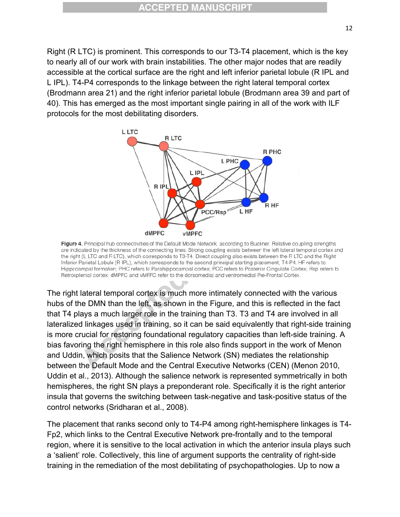Right (R LTC) is prominent. This corresponds to our T3-T4 placement, which is the key to nearly all of our work with brain instabilities. The other major nodes that are readily accessible at the cortical surface are the right and left inferior parietal lobule (R IPL and L IPL). T4-P4 corresponds to the linkage between the right lateral temporal cortex (Brodmann area 21) and the right inferior parietal lobule (Brodmann area 39 and part of 40). This has emerged as the most important single pairing in all of the work with ILF protocols for the most debilitating disorders.



F<br>sand<br>to<br>S sct Figure 4. Principal hub connectivities of the Default Mode Network, according to Buckner. Relative coupling strengths are indicated by the thickness of the connecting lines. Strong coupling exists between the left lateral temporal cortex and the right (L LTC and R LTC), which corresponds to T3-T4. Direct coupling also exists between the R LTC and the Right Inferior Parietal Lobule (R IPL), which corresponds to the second principal starting placement, T4-P4. HF refers to Hippocampal formation; PHC refers to Parahippocampal cortex; PCC refers to Posterior Cingulate Cortex; Rsp refers to Retrosplenial cortex; dMPFC and vMPFC refer to the dorsomedial and ventromedial Pre-Frontal Cortex.

The right lateral temporal cortex is much more intimately connected with the various hubs of the DMN than the left, as shown in the Figure, and this is reflected in the fac that T4 plays a much larger role in the training than T3. T3 and T4 are involved in all lateralized linkages used in training, so it can be said equivalently that right-side training is more crucial for restoring foundational regulatory capacities than left-side training. A bias favoring the right hemisphere in this role also finds support in the work of Menon and Uddin, which posits that the Salience Network (SN) mediates the relationship between the Default Mode and the Central Executive Networks (CEN) (Menon 2010, Uddin et al., 2013). Although the salience network is represented symmetrically in both hemispheres, the right SN plays a preponderant role. Specifically it is the right anterior insula that governs the switching between task-negative and task-positive status of the control networks (Sridharan et al., 2008).

The placement that ranks second only to T4-P4 among right-hemisphere linkages is T4-Fp2, which links to the Central Executive Network pre-frontally and to the temporal region, where it is sensitive to the local activation in which the anterior insula plays such a 'salient' role. Collectively, this line of argument supports the centrality of right-side training in the remediation of the most debilitating of psychopathologies. Up to now a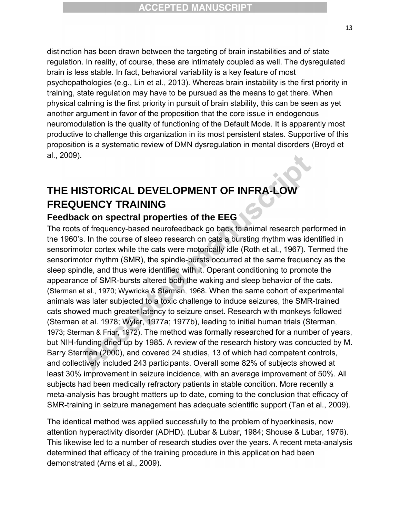distinction has been drawn between the targeting of brain instabilities and of state regulation. In reality, of course, these are intimately coupled as well. The dysregulated brain is less stable. In fact, behavioral variability is a key feature of most psychopathologies (e.g., Lin et al., 2013). Whereas brain instability is the first priority in training, state regulation may have to be pursued as the means to get there. When physical calming is the first priority in pursuit of brain stability, this can be seen as yet another argument in favor of the proposition that the core issue in endogenous neuromodulation is the quality of functioning of the Default Mode. It is apparently most productive to challenge this organization in its most persistent states. Supportive of this proposition is a systematic review of DMN dysregulation in mental disorders (Broyd et al., 2009).

# **THE HISTORICAL DEVELOPMENT OF INFRA-LOW FREQUENCY TRAINING**

# **Feedback on spectral properties of the EEG**

The roots of frequency-based neurofeedback go back to animal research performed in the 1960's. In the course of sleep research on cats a bursting rhythm was identified in sensorimotor cortex while the cats were motorically idle (Roth et al., 1967). Termed the sensorimotor rhythm (SMR), the spindle-bursts occurred at the same frequency as the sleep spindle, and thus were identified with it. Operant conditioning to promote the appearance of SMR-bursts altered both the waking and sleep behavior of the cats. (Sterman et al., 1970; Wywricka & Sterman, 1968. When the same cohort of experimental animals was later subjected to a toxic challenge to induce seizures, the SMR-trained cats showed much greater latency to seizure onset. Research with monkeys followed (Sterman et al. 1978; Wyler, 1977a; 1977b), leading to initial human trials (Sterman, 1973; Sterman & Friar, 1972). The method was formally researched for a number of years, but NIH-funding dried up by 1985. A review of the research history was conducted by M. Barry Sterman (2000), and covered 24 studies, 13 of which had competent controls, and collectively included 243 participants. Overall some 82% of subjects showed at least 30% improvement in seizure incidence, with an average improvement of 50%. All subjects had been medically refractory patients in stable condition. More recently a meta-analysis has brought matters up to date, coming to the conclusion that efficacy of SMR-training in seizure management has adequate scientific support (Tan et al., 2009).

The identical method was applied successfully to the problem of hyperkinesis, now attention hyperactivity disorder (ADHD). (Lubar & Lubar, 1984; Shouse & Lubar, 1976). This likewise led to a number of research studies over the years. A recent meta-analysis determined that efficacy of the training procedure in this application had been demonstrated (Arns et al., 2009).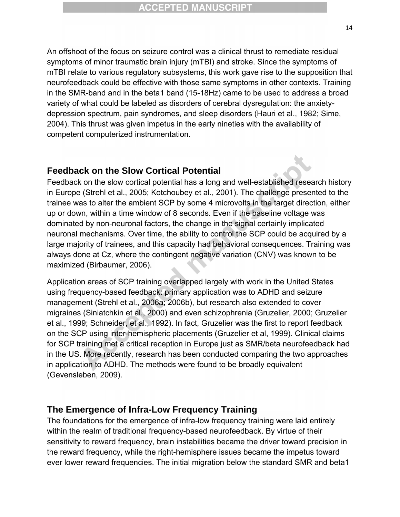An offshoot of the focus on seizure control was a clinical thrust to remediate residual symptoms of minor traumatic brain injury (mTBI) and stroke. Since the symptoms of mTBI relate to various regulatory subsystems, this work gave rise to the supposition that neurofeedback could be effective with those same symptoms in other contexts. Training in the SMR-band and in the beta1 band (15-18Hz) came to be used to address a broad variety of what could be labeled as disorders of cerebral dysregulation: the anxietydepression spectrum, pain syndromes, and sleep disorders (Hauri et al., 1982; Sime, 2004). This thrust was given impetus in the early nineties with the availability of competent computerized instrumentation.

# **Feedback on the Slow Cortical Potential**

Feedback on the slow cortical potential has a long and well-established research history in Europe (Strehl et al., 2005; Kotchoubey et al., 2001). The challenge presented to the trainee was to alter the ambient SCP by some 4 microvolts in the target direction, either up or down, within a time window of 8 seconds. Even if the baseline voltage was dominated by non-neuronal factors, the change in the signal certainly implicated neuronal mechanisms. Over time, the ability to control the SCP could be acquired by a large majority of trainees, and this capacity had behavioral consequences. Training was always done at Cz, where the contingent negative variation (CNV) was known to be maximized (Birbaumer, 2006).

Application areas of SCP training overlapped largely with work in the United States using frequency-based feedback: primary application was to ADHD and seizure management (Strehl et al., 2006a; 2006b), but research also extended to cover migraines (Siniatchkin et al., 2000) and even schizophrenia (Gruzelier, 2000; Gruzelier et al., 1999; Schneider, et al., 1992). In fact, Gruzelier was the first to report feedback on the SCP using inter-hemispheric placements (Gruzelier et al, 1999). Clinical claims for SCP training met a critical reception in Europe just as SMR/beta neurofeedback had in the US. More recently, research has been conducted comparing the two approaches in application to ADHD. The methods were found to be broadly equivalent (Gevensleben, 2009).

# **The Emergence of Infra-Low Frequency Training**

The foundations for the emergence of infra-low frequency training were laid entirely within the realm of traditional frequency-based neurofeedback. By virtue of their sensitivity to reward frequency, brain instabilities became the driver toward precision in the reward frequency, while the right-hemisphere issues became the impetus toward ever lower reward frequencies. The initial migration below the standard SMR and beta1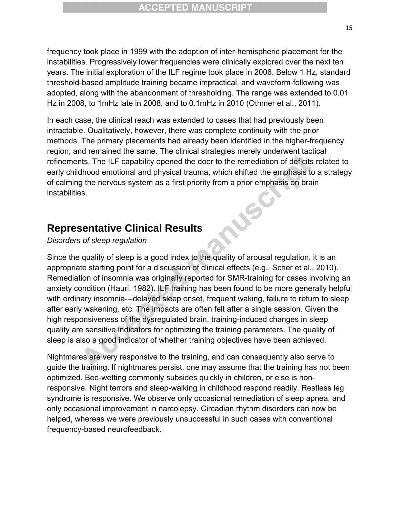frequency took place in 1999 with the adoption of inter-hemispheric placement for the instabilities. Progressively lower frequencies were clinically explored over the next ten years. The initial exploration of the ILF regime took place in 2006. Below 1 Hz, standard threshold-based amplitude training became impractical, and waveform-following was adopted, along with the abandonment of thresholding. The range was extended to 0.01 Hz in 2008, to 1mHz late in 2008, and to 0.1mHz in 2010 (Othmer et al., 2011).

In each case, the clinical reach was extended to cases that had previously been intractable. Qualitatively, however, there was complete continuity with the prior methods. The primary placements had already been identified in the higher-frequency region, and remained the same. The clinical strategies merely underwent tactical refinements. The ILF capability opened the door to the remediation of deficits related to early childhood emotional and physical trauma, which shifted the emphasis to a strategy of calming the nervous system as a first priority from a prior emphasis on brain<br>instabilities.<br>**Representative Clinies:** instabilities.

# **Representative Clinical Results**

### *Disorders of sleep regulation*

Since the quality of sleep is a good index to the quality of arousal regulation, it is an appropriate starting point for a discussion of clinical effects (e.g., Scher et al., 2010). Remediation of insomnia was originally reported for SMR-training for cases involving an anxiety condition (Hauri, 1982). ILF training has been found to be more generally helpful with ordinary insomnia---delayed sleep onset, frequent waking, failure to return to sleep after early wakening, etc. The impacts are often felt after a single session. Given the high responsiveness of the dysregulated brain, training-induced changes in sleep quality are sensitive indicators for optimizing the training parameters. The quality of sleep is also a good indicator of whether training objectives have been achieved.

Nightmares are very responsive to the training, and can consequently also serve to guide the training. If nightmares persist, one may assume that the training has not been optimized. Bed-wetting commonly subsides quickly in children, or else is nonresponsive. Night terrors and sleep-walking in childhood respond readily. Restless leg syndrome is responsive. We observe only occasional remediation of sleep apnea, and only occasional improvement in narcolepsy. Circadian rhythm disorders can now be helped, whereas we were previously unsuccessful in such cases with conventional frequency-based neurofeedback.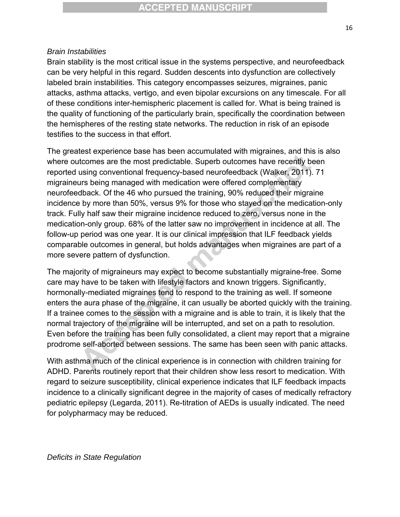### *Brain Instabilities*

Brain stability is the most critical issue in the systems perspective, and neurofeedback can be very helpful in this regard. Sudden descents into dysfunction are collectively labeled brain instabilities. This category encompasses seizures, migraines, panic attacks, asthma attacks, vertigo, and even bipolar excursions on any timescale. For all of these conditions inter-hemispheric placement is called for. What is being trained is the quality of functioning of the particularly brain, specifically the coordination between the hemispheres of the resting state networks. The reduction in risk of an episode testifies to the success in that effort.

The greatest experience base has been accumulated with migraines, and this is also where outcomes are the most predictable. Superb outcomes have recently been reported using conventional frequency-based neurofeedback (Walker, 2011). 71 migraineurs being managed with medication were offered complementary neurofeedback. Of the 46 who pursued the training, 90% reduced their migraine incidence by more than 50%, versus 9% for those who stayed on the medication-only track. Fully half saw their migraine incidence reduced to zero, versus none in the medication-only group. 68% of the latter saw no improvement in incidence at all. The follow-up period was one year. It is our clinical impression that ILF feedback yields comparable outcomes in general, but holds advantages when migraines are part of a more severe pattern of dysfunction.

The majority of migraineurs may expect to become substantially migraine-free. Some care may have to be taken with lifestyle factors and known triggers. Significantly, hormonally-mediated migraines tend to respond to the training as well. If someone enters the aura phase of the migraine, it can usually be aborted quickly with the training. If a trainee comes to the session with a migraine and is able to train, it is likely that the normal trajectory of the migraine will be interrupted, and set on a path to resolution. Even before the training has been fully consolidated, a client may report that a migraine prodrome self-aborted between sessions. The same has been seen with panic attacks.

With asthma much of the clinical experience is in connection with children training for ADHD. Parents routinely report that their children show less resort to medication. With regard to seizure susceptibility, clinical experience indicates that ILF feedback impacts incidence to a clinically significant degree in the majority of cases of medically refractory pediatric epilepsy (Legarda, 2011). Re-titration of AEDs is usually indicated. The need for polypharmacy may be reduced.

*Deficits in State Regulation*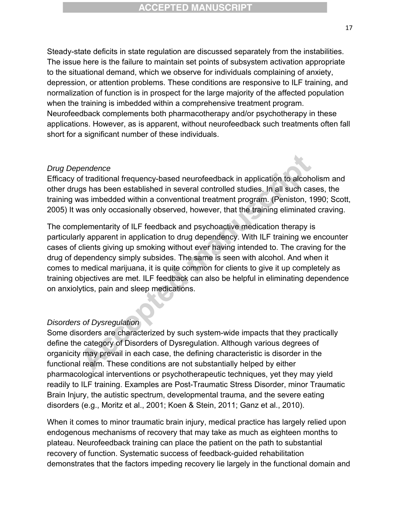Steady-state deficits in state regulation are discussed separately from the instabilities. The issue here is the failure to maintain set points of subsystem activation appropriate to the situational demand, which we observe for individuals complaining of anxiety, depression, or attention problems. These conditions are responsive to ILF training, and normalization of function is in prospect for the large majority of the affected population when the training is imbedded within a comprehensive treatment program. Neurofeedback complements both pharmacotherapy and/or psychotherapy in these applications. However, as is apparent, without neurofeedback such treatments often fall short for a significant number of these individuals.

### *Drug Dependence*

Efficacy of traditional frequency-based neurofeedback in application to alcoholism and other drugs has been established in several controlled studies. In all such cases, the training was imbedded within a conventional treatment program. (Peniston, 1990; Scott, 2005) It was only occasionally observed, however, that the training eliminated craving.

The complementarity of ILF feedback and psychoactive medication therapy is particularly apparent in application to drug dependency. With ILF training we encounter cases of clients giving up smoking without ever having intended to. The craving for the drug of dependency simply subsides. The same is seen with alcohol. And when it comes to medical marijuana, it is quite common for clients to give it up completely as training objectives are met. ILF feedback can also be helpful in eliminating dependence on anxiolytics, pain and sleep medications.

### *Disorders of Dysregulation*

Some disorders are characterized by such system-wide impacts that they practically define the category of Disorders of Dysregulation. Although various degrees of organicity may prevail in each case, the defining characteristic is disorder in the functional realm. These conditions are not substantially helped by either pharmacological interventions or psychotherapeutic techniques, yet they may yield readily to ILF training. Examples are Post-Traumatic Stress Disorder, minor Traumatic Brain Injury, the autistic spectrum, developmental trauma, and the severe eating disorders (e.g., Moritz et al., 2001; Koen & Stein, 2011; Ganz et al., 2010).

When it comes to minor traumatic brain injury, medical practice has largely relied upon endogenous mechanisms of recovery that may take as much as eighteen months to plateau. Neurofeedback training can place the patient on the path to substantial recovery of function. Systematic success of feedback-guided rehabilitation demonstrates that the factors impeding recovery lie largely in the functional domain and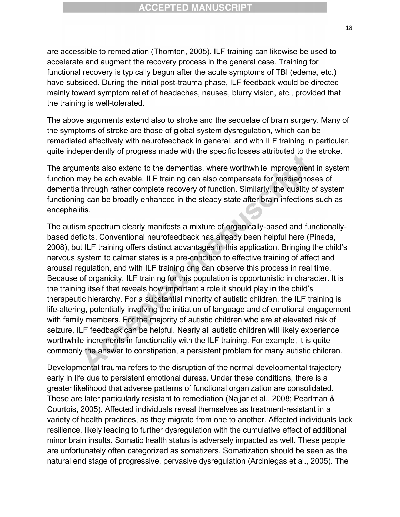are accessible to remediation (Thornton, 2005). ILF training can likewise be used to accelerate and augment the recovery process in the general case. Training for functional recovery is typically begun after the acute symptoms of TBI (edema, etc.) have subsided. During the initial post-trauma phase, ILF feedback would be directed mainly toward symptom relief of headaches, nausea, blurry vision, etc., provided that the training is well-tolerated.

The above arguments extend also to stroke and the sequelae of brain surgery. Many of the symptoms of stroke are those of global system dysregulation, which can be remediated effectively with neurofeedback in general, and with ILF training in particular, quite independently of progress made with the specific losses attributed to the stroke.

The arguments also extend to the dementias, where worthwhile improvement in system function may be achievable. ILF training can also compensate for misdiagnoses of dementia through rather complete recovery of function. Similarly, the quality of system functioning can be broadly enhanced in the steady state after brain infections such as encephalitis.

The autism spectrum clearly manifests a mixture of organically-based and functionallybased deficits. Conventional neurofeedback has already been helpful here (Pineda, 2008), but ILF training offers distinct advantages in this application. Bringing the child's nervous system to calmer states is a pre-condition to effective training of affect and arousal regulation, and with ILF training one can observe this process in real time. Because of organicity, ILF training for this population is opportunistic in character. It is the training itself that reveals how important a role it should play in the child's therapeutic hierarchy. For a substantial minority of autistic children, the ILF training is life-altering, potentially involving the initiation of language and of emotional engagement with family members. For the majority of autistic children who are at elevated risk of seizure, ILF feedback can be helpful. Nearly all autistic children will likely experience worthwhile increments in functionality with the ILF training. For example, it is quite commonly the answer to constipation, a persistent problem for many autistic children.

Developmental trauma refers to the disruption of the normal developmental trajectory early in life due to persistent emotional duress. Under these conditions, there is a greater likelihood that adverse patterns of functional organization are consolidated. These are later particularly resistant to remediation (Najjar et al., 2008; Pearlman & Courtois, 2005). Affected individuals reveal themselves as treatment-resistant in a variety of health practices, as they migrate from one to another. Affected individuals lack resilience, likely leading to further dysregulation with the cumulative effect of additional minor brain insults. Somatic health status is adversely impacted as well. These people are unfortunately often categorized as somatizers. Somatization should be seen as the natural end stage of progressive, pervasive dysregulation (Arciniegas et al., 2005). The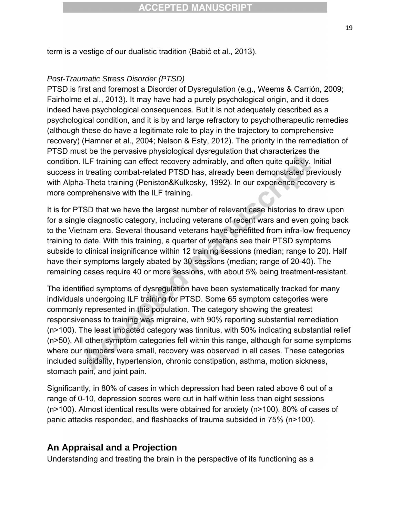term is a vestige of our dualistic tradition (Babić et al., 2013).

### *Post-Traumatic Stress Disorder (PTSD)*

PTSD is first and foremost a Disorder of Dysregulation (e.g., Weems & Carrión, 2009; Fairholme et al., 2013). It may have had a purely psychological origin, and it does indeed have psychological consequences. But it is not adequately described as a psychological condition, and it is by and large refractory to psychotherapeutic remedies (although these do have a legitimate role to play in the trajectory to comprehensive recovery) (Hamner et al., 2004; Nelson & Esty, 2012). The priority in the remediation of PTSD must be the pervasive physiological dysregulation that characterizes the condition. ILF training can effect recovery admirably, and often quite quickly. Initial success in treating combat-related PTSD has, already been demonstrated previously with Alpha-Theta training (Peniston&Kulkosky, 1992). In our experience recovery is more comprehensive with the ILF training.

It is for PTSD that we have the largest number of relevant case histories to draw upon for a single diagnostic category, including veterans of recent wars and even going back to the Vietnam era. Several thousand veterans have benefitted from infra-low frequency training to date. With this training, a quarter of veterans see their PTSD symptoms subside to clinical insignificance within 12 training sessions (median; range to 20). Half have their symptoms largely abated by 30 sessions (median; range of 20-40). The remaining cases require 40 or more sessions, with about 5% being treatment-resistant.

The identified symptoms of dysregulation have been systematically tracked for many individuals undergoing ILF training for PTSD. Some 65 symptom categories were commonly represented in this population. The category showing the greatest responsiveness to training was migraine, with 90% reporting substantial remediation (n>100). The least impacted category was tinnitus, with 50% indicating substantial relief (n>50). All other symptom categories fell within this range, although for some symptoms where our numbers were small, recovery was observed in all cases. These categories included suicidality, hypertension, chronic constipation, asthma, motion sickness, stomach pain, and joint pain.

Significantly, in 80% of cases in which depression had been rated above 6 out of a range of 0-10, depression scores were cut in half within less than eight sessions (n>100). Almost identical results were obtained for anxiety (n>100). 80% of cases of panic attacks responded, and flashbacks of trauma subsided in 75% (n>100).

## **An Appraisal and a Projection**

Understanding and treating the brain in the perspective of its functioning as a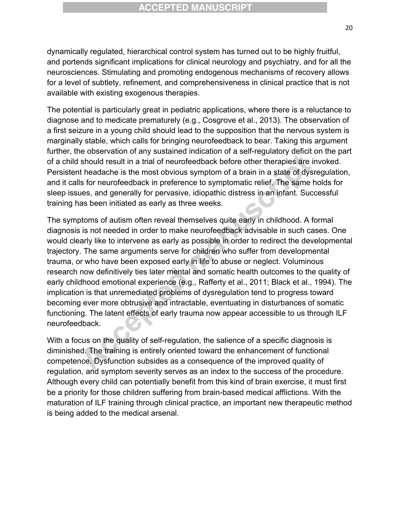dynamically regulated, hierarchical control system has turned out to be highly fruitful, and portends significant implications for clinical neurology and psychiatry, and for all the neurosciences. Stimulating and promoting endogenous mechanisms of recovery allows for a level of subtlety, refinement, and comprehensiveness in clinical practice that is not available with existing exogenous therapies.

The potential is particularly great in pediatric applications, where there is a reluctance to diagnose and to medicate prematurely (e.g., Cosgrove et al., 2013). The observation of a first seizure in a young child should lead to the supposition that the nervous system is marginally stable, which calls for bringing neurofeedback to bear. Taking this argument further, the observation of any sustained indication of a self-regulatory deficit on the part of a child should result in a trial of neurofeedback before other therapies are invoked. Persistent headache is the most obvious symptom of a brain in a state of dysregulation, and it calls for neurofeedback in preference to symptomatic relief. The same holds for sleep issues, and generally for pervasive, idiopathic distress in an infant. Successful training has been initiated as early as three weeks.

The symptoms of autism often reveal themselves quite early in childhood. A formal diagnosis is not needed in order to make neurofeedback advisable in such cases. One would clearly like to intervene as early as possible in order to redirect the developmental trajectory. The same arguments serve for children who suffer from developmental trauma, or who have been exposed early in life to abuse or neglect. Voluminous research now definitively ties later mental and somatic health outcomes to the quality of early childhood emotional experience (e.g., Rafferty et al., 2011; Black et al., 1994). The implication is that unremediated problems of dysregulation tend to progress toward becoming ever more obtrusive and intractable, eventuating in disturbances of somatic functioning. The latent effects of early trauma now appear accessible to us through ILF neurofeedback.

With a focus on the quality of self-regulation, the salience of a specific diagnosis is diminished. The training is entirely oriented toward the enhancement of functional competence. Dysfunction subsides as a consequence of the improved quality of regulation, and symptom severity serves as an index to the success of the procedure. Although every child can potentially benefit from this kind of brain exercise, it must first be a priority for those children suffering from brain-based medical afflictions. With the maturation of ILF training through clinical practice, an important new therapeutic method is being added to the medical arsenal.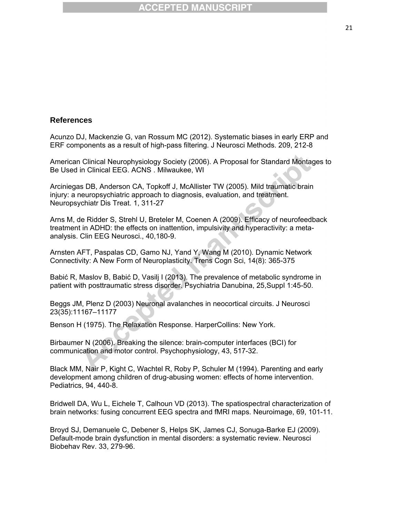### **References**

Acunzo DJ, Mackenzie G, van Rossum MC (2012). Systematic biases in early ERP and ERF components as a result of high-pass filtering. J Neurosci Methods. 209, 212-8

American Clinical Neurophysiology Society (2006). A Proposal for Standard Montages to Be Used in Clinical EEG. ACNS . Milwaukee, WI

Arciniegas DB, Anderson CA, Topkoff J, McAllister TW (2005). Mild traumatic brain injury: a neuropsychiatric approach to diagnosis, evaluation, and treatment. Neuropsychiatr Dis Treat. 1, 311-27

Arns M, de Ridder S, Strehl U, Breteler M, Coenen A (2009). Efficacy of neurofeedback treatment in ADHD: the effects on inattention, impulsivity and hyperactivity: a metaanalysis. Clin EEG Neurosci., 40,180-9.

Arnsten AFT, Paspalas CD, Gamo NJ, Yand Y, Wang M (2010). Dynamic Network Connectivity: A New Form of Neuroplasticity. Trens Cogn Sci, 14(8): 365-375

Babić R, Maslov B, Babić D, Vasilj I (2013). The prevalence of metabolic syndrome in patient with posttraumatic stress disorder. Psychiatria Danubina, 25,Suppl 1:45-50.

Beggs JM, Plenz D (2003) Neuronal avalanches in neocortical circuits. J Neurosci 23(35):11167–11177

Benson H (1975). The Relaxation Response. HarperCollins: New York.

Birbaumer N (2006). Breaking the silence: brain-computer interfaces (BCI) for communication and motor control. Psychophysiology, 43, 517-32.

Black MM, Nair P, Kight C, Wachtel R, Roby P, Schuler M (1994). Parenting and early development among children of drug-abusing women: effects of home intervention. Pediatrics, 94, 440-8.

Bridwell DA, Wu L, Eichele T, Calhoun VD (2013). The spatiospectral characterization of brain networks: fusing concurrent EEG spectra and fMRI maps. Neuroimage, 69, 101-11.

Broyd SJ, Demanuele C, Debener S, Helps SK, James CJ, Sonuga-Barke EJ (2009). Default-mode brain dysfunction in mental disorders: a systematic review. Neurosci Biobehav Rev. 33, 279-96.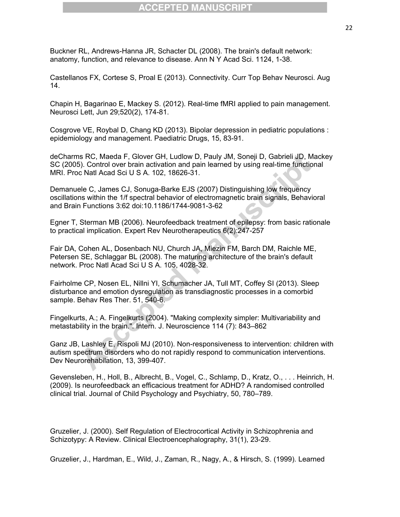Buckner RL, Andrews-Hanna JR, Schacter DL (2008). The brain's default network: anatomy, function, and relevance to disease. Ann N Y Acad Sci. 1124, 1-38.

Castellanos FX, Cortese S, Proal E (2013). Connectivity. Curr Top Behav Neurosci. Aug 14.

Chapin H, Bagarinao E, Mackey S. (2012). Real-time fMRI applied to pain management. Neurosci Lett, Jun 29;520(2), 174-81.

Cosgrove VE, Roybal D, Chang KD (2013). Bipolar depression in pediatric populations : epidemiology and management. Paediatric Drugs, 15, 83-91.

deCharms RC, Maeda F, Glover GH, Ludlow D, Pauly JM, Soneji D, Gabrieli JD, Mackey SC (2005). Control over brain activation and pain learned by using real-time functional MRI. Proc Natl Acad Sci U S A. 102, 18626-31.

Demanuele C, James CJ, Sonuga-Barke EJS (2007) Distinguishing low frequency oscillations within the 1/f spectral behavior of electromagnetic brain signals, Behavioral and Brain Functions 3:62 doi:10.1186/1744-9081-3-62

Egner T, Sterman MB (2006). Neurofeedback treatment of epilepsy: from basic rationale to practical implication. Expert Rev Neurotherapeutics 6(2):247-257

Fair DA, Cohen AL, Dosenbach NU, Church JA, Miezin FM, Barch DM, Raichle ME, Petersen SE, Schlaggar BL (2008). The maturing architecture of the brain's default network. Proc Natl Acad Sci U S A. 105, 4028-32.

Fairholme CP, Nosen EL, Nillni YI, Schumacher JA, Tull MT, Coffey SI (2013). Sleep disturbance and emotion dysregulation as transdiagnostic processes in a comorbid sample. Behav Res Ther. 51, 540-6.

Fingelkurts, A.; A. Fingelkurts (2004). "Making complexity simpler: Multivariability and metastability in the brain.". Intern. J. Neuroscience 114 (7): 843–862

Ganz JB, Lashley E, Rispoli MJ (2010). Non-responsiveness to intervention: children with autism spectrum disorders who do not rapidly respond to communication interventions. Dev Neurorehabilation, 13, 399-407.

Gevensleben, H., Holl, B., Albrecht, B., Vogel, C., Schlamp, D., Kratz, O., . . . Heinrich, H. (2009). Is neurofeedback an efficacious treatment for ADHD? A randomised controlled clinical trial. Journal of Child Psychology and Psychiatry, 50, 780–789.

Gruzelier, J. (2000). Self Regulation of Electrocortical Activity in Schizophrenia and Schizotypy: A Review. Clinical Electroencephalography, 31(1), 23-29.

Gruzelier, J., Hardman, E., Wild, J., Zaman, R., Nagy, A., & Hirsch, S. (1999). Learned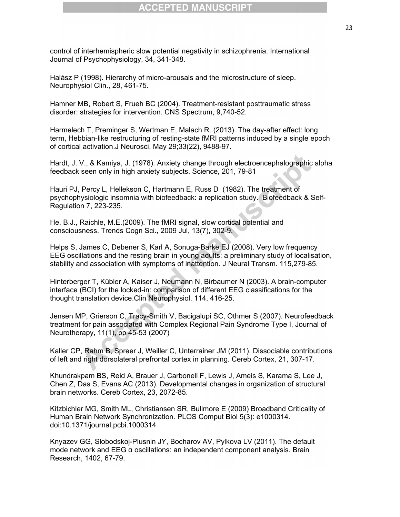control of interhemispheric slow potential negativity in schizophrenia. International Journal of Psychophysiology, 34, 341-348.

Halász P (1998). Hierarchy of micro-arousals and the microstructure of sleep. Neurophysiol Clin., 28, 461-75.

Hamner MB, Robert S, Frueh BC (2004). Treatment-resistant posttraumatic stress disorder: strategies for intervention. CNS Spectrum, 9,740-52.

Harmelech T, Preminger S, Wertman E, Malach R. (2013). The day-after effect: long term, Hebbian-like restructuring of resting-state fMRI patterns induced by a single epoch of cortical activation.J Neurosci, May 29;33(22), 9488-97.

Hardt, J. V., & Kamiya, J. (1978). Anxiety change through electroencephalographic alpha feedback seen only in high anxiety subjects. Science, 201, 79-81

Hauri PJ, Percy L, Hellekson C, Hartmann E, Russ D (1982). The treatment of psychophysiologic insomnia with biofeedback: a replication study. Biofeedback & Self-Regulation 7, 223-235.

He, B.J., Raichle, M.E.(2009). The fMRI signal, slow cortical potential and consciousness. Trends Cogn Sci., 2009 Jul, 13(7), 302-9.

Helps S, James C, Debener S, Karl A, Sonuga-Barke EJ (2008). Very low frequency EEG oscillations and the resting brain in young adults: a preliminary study of localisation, stability and association with symptoms of inattention. J Neural Transm. 115,279-85.

Hinterberger T, Kübler A, Kaiser J, Neumann N, Birbaumer N (2003). A brain-computer interface (BCI) for the locked-in: comparison of different EEG classifications for the thought translation device.Clin Neurophysiol. 114, 416-25.

Jensen MP, Grierson C, Tracy-Smith V, Bacigalupi SC, Othmer S (2007). Neurofeedback treatment for pain associated with Complex Regional Pain Syndrome Type I, Journal of Neurotherapy, 11(1), pp 45-53 (2007)

Kaller CP, Rahm B, Spreer J, Weiller C, Unterrainer JM (2011). Dissociable contributions of left and right dorsolateral prefrontal cortex in planning. Cereb Cortex, 21, 307-17.

Khundrakpam BS, Reid A, Brauer J, Carbonell F, Lewis J, Ameis S, Karama S, Lee J, Chen Z, Das S, Evans AC (2013). Developmental changes in organization of structural brain networks. Cereb Cortex, 23, 2072-85.

Kitzbichler MG, Smith ML, Christiansen SR, Bullmore E (2009) Broadband Criticality of Human Brain Network Synchronization. PLOS Comput Biol 5(3): e1000314. doi:10.1371/journal.pcbi.1000314

Knyazev GG, Slobodskoj-Plusnin JY, Bocharov AV, Pylkova LV (2011). The default mode network and EEG α oscillations: an independent component analysis. Brain Research, 1402, 67-79.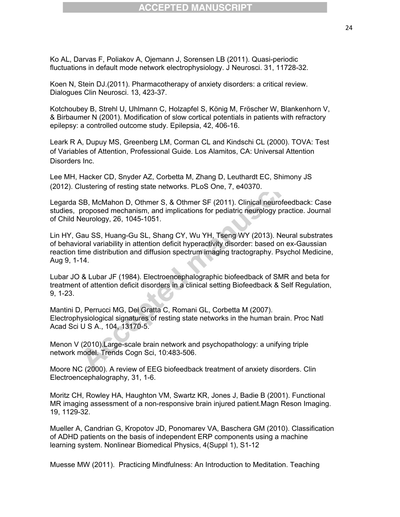Ko AL, Darvas F, Poliakov A, Ojemann J, Sorensen LB (2011). Quasi-periodic fluctuations in default mode network electrophysiology. J Neurosci. 31, 11728-32.

Koen N, Stein DJ.(2011). Pharmacotherapy of anxiety disorders: a critical review. Dialogues Clin Neurosci. 13, 423-37.

Kotchoubey B, Strehl U, Uhlmann C, Holzapfel S, König M, Fröscher W, Blankenhorn V, & Birbaumer N (2001). Modification of slow cortical potentials in patients with refractory epilepsy: a controlled outcome study. Epilepsia, 42, 406-16.

Leark R A, Dupuy MS, Greenberg LM, Corman CL and Kindschi CL (2000). TOVA: Test of Variables of Attention, Professional Guide. Los Alamitos, CA: Universal Attention Disorders Inc.

Lee MH, Hacker CD, Snyder AZ, Corbetta M, Zhang D, Leuthardt EC, Shimony JS (2012). Clustering of resting state networks. PLoS One, 7, e40370.

Legarda SB, McMahon D, Othmer S, & Othmer SF (2011). Clinical neurofeedback: Case studies, proposed mechanism, and implications for pediatric neurology practice. Journal of Child Neurology, 26, 1045-1051.

Lin HY, Gau SS, Huang-Gu SL, Shang CY, Wu YH, Tseng WY (2013). Neural substrates of behavioral variability in attention deficit hyperactivity disorder: based on ex-Gaussian reaction time distribution and diffusion spectrum imaging tractography. Psychol Medicine, Aug 9, 1-14.

Lubar JO & Lubar JF (1984). Electroencephalographic biofeedback of SMR and beta for treatment of attention deficit disorders in a clinical setting Biofeedback & Self Regulation, 9, 1-23.

Mantini D, Perrucci MG, Del Gratta C, Romani GL, Corbetta M (2007). Electrophysiological signatures of resting state networks in the human brain. Proc Natl Acad Sci U S A., 104, 13170-5.

Menon V (2010).Large-scale brain network and psychopathology: a unifying triple network model. Trends Cogn Sci, 10:483-506.

Moore NC (2000). A review of EEG biofeedback treatment of anxiety disorders. Clin Electroencephalography, 31, 1-6.

Moritz CH, Rowley HA, Haughton VM, Swartz KR, Jones J, Badie B (2001). Functional MR imaging assessment of a non-responsive brain injured patient.Magn Reson Imaging. 19, 1129-32.

Mueller A, Candrian G, Kropotov JD, Ponomarev VA, Baschera GM (2010). Classification of ADHD patients on the basis of independent ERP components using a machine learning system. Nonlinear Biomedical Physics, 4(Suppl 1), S1-12

Muesse MW (2011). Practicing Mindfulness: An Introduction to Meditation. Teaching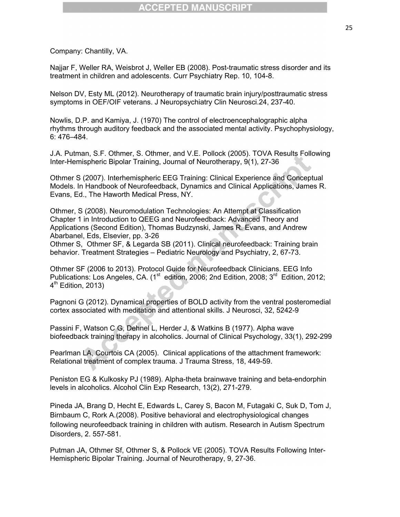Company: Chantilly, VA.

Najjar F, Weller RA, Weisbrot J, Weller EB (2008). Post-traumatic stress disorder and its treatment in children and adolescents. Curr Psychiatry Rep. 10, 104-8.

Nelson DV, Esty ML (2012). Neurotherapy of traumatic brain injury/posttraumatic stress symptoms in OEF/OIF veterans. J Neuropsychiatry Clin Neurosci.24, 237-40.

Nowlis, D.P. and Kamiya, J. (1970) The control of electroencephalographic alpha rhythms through auditory feedback and the associated mental activity. Psychophysiology, 6: 476–484.

J.A. Putman, S.F. Othmer, S. Othmer, and V.E. Pollock (2005). TOVA Results Following Inter-Hemispheric Bipolar Training, Journal of Neurotherapy, 9(1), 27-36

Othmer S (2007). Interhemispheric EEG Training: Clinical Experience and Conceptual Models. In Handbook of Neurofeedback, Dynamics and Clinical Applications, James R. Evans, Ed., The Haworth Medical Press, NY.

Othmer, S (2008). Neuromodulation Technologies: An Attempt at Classification Chapter 1 in Introduction to QEEG and Neurofeedback: Advanced Theory and Applications (Second Edition), Thomas Budzynski, James R. Evans, and Andrew Abarbanel, Eds, Elsevier, pp. 3-26

Othmer S, Othmer SF, & Legarda SB (2011). Clinical neurofeedback: Training brain behavior. Treatment Strategies – Pediatric Neurology and Psychiatry, 2, 67-73.

Othmer SF (2006 to 2013). Protocol Guide for Neurofeedback Clinicians. EEG Info Publications: Los Angeles, CA.  $(1^{st}$  edition, 2006; 2nd Edition, 2008;  $3^{rd}$  Edition, 2012;  $4<sup>th</sup>$  Edition, 2013)

Pagnoni G (2012). Dynamical properties of BOLD activity from the ventral posteromedial cortex associated with meditation and attentional skills. J Neurosci, 32, 5242-9

Passini F, Watson C G, Dehnel L, Herder J, & Watkins B (1977). Alpha wave biofeedback training therapy in alcoholics. Journal of Clinical Psychology, 33(1), 292-299

Pearlman LA, Courtois CA (2005). Clinical applications of the attachment framework: Relational treatment of complex trauma. J Trauma Stress, 18, 449-59.

Peniston EG & Kulkosky PJ (1989). Alpha-theta brainwave training and beta-endorphin levels in alcoholics. Alcohol Clin Exp Research, 13(2), 271-279.

Pineda JA, Brang D, Hecht E, Edwards L, Carey S, Bacon M, Futagaki C, Suk D, Tom J, Birnbaum C, Rork A.(2008). Positive behavioral and electrophysiological changes following neurofeedback training in children with autism. Research in Autism Spectrum Disorders, 2. 557-581.

Putman JA, Othmer Sf, Othmer S, & Pollock VE (2005). TOVA Results Following Inter-Hemispheric Bipolar Training. Journal of Neurotherapy, 9, 27-36.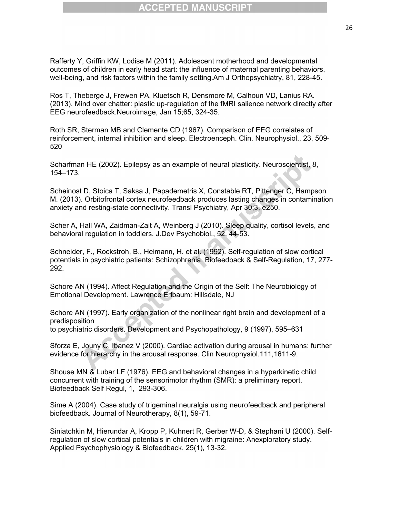Rafferty Y, Griffin KW, Lodise M (2011). Adolescent motherhood and developmental outcomes of children in early head start: the influence of maternal parenting behaviors, well-being, and risk factors within the family setting.Am J Orthopsychiatry, 81, 228-45.

Ros T, Theberge J, Frewen PA, Kluetsch R, Densmore M, Calhoun VD, Lanius RA. (2013). Mind over chatter: plastic up-regulation of the fMRI salience network directly after EEG neurofeedback.Neuroimage, Jan 15;65, 324-35.

Roth SR, Sterman MB and Clemente CD (1967). Comparison of EEG correlates of reinforcement, internal inhibition and sleep. Electroenceph. Clin. Neurophysiol., 23, 509- 520

Scharfman HE (2002). Epilepsy as an example of neural plasticity. Neuroscientist, 8, 154–173.

Scheinost D, Stoica T, Saksa J, Papademetris X, Constable RT, Pittenger C, Hampson M. (2013). Orbitofrontal cortex neurofeedback produces lasting changes in contamination anxiety and resting-state connectivity. Transl Psychiatry, Apr 30;3, e250.

Scher A, Hall WA, Zaidman-Zait A, Weinberg J (2010). Sleep quality, cortisol levels, and behavioral regulation in toddlers. J.Dev Psychobiol., 52, 44-53.

Schneider, F., Rockstroh, B., Heimann, H. et al. (1992). Self-regulation of slow cortical potentials in psychiatric patients: Schizophrenia. Biofeedback & Self-Regulation, 17, 277- 292.

Schore AN (1994). Affect Regulation and the Origin of the Self: The Neurobiology of Emotional Development. Lawrence Erlbaum: Hillsdale, NJ

Schore AN (1997). Early organization of the nonlinear right brain and development of a predisposition

to psychiatric disorders. Development and Psychopathology, 9 (1997), 595–631

Sforza E, Jouny C, Ibanez V (2000). Cardiac activation during arousal in humans: further evidence for hierarchy in the arousal response. Clin Neurophysiol.111,1611-9.

Shouse MN & Lubar LF (1976). EEG and behavioral changes in a hyperkinetic child concurrent with training of the sensorimotor rhythm (SMR): a preliminary report. Biofeedback Self Regul, 1, 293-306.

Sime A (2004). Case study of trigeminal neuralgia using neurofeedback and peripheral biofeedback. Journal of Neurotherapy, 8(1), 59-71.

Siniatchkin M, Hierundar A, Kropp P, Kuhnert R, Gerber W-D, & Stephani U (2000). Selfregulation of slow cortical potentials in children with migraine: Anexploratory study. Applied Psychophysiology & Biofeedback, 25(1), 13-32.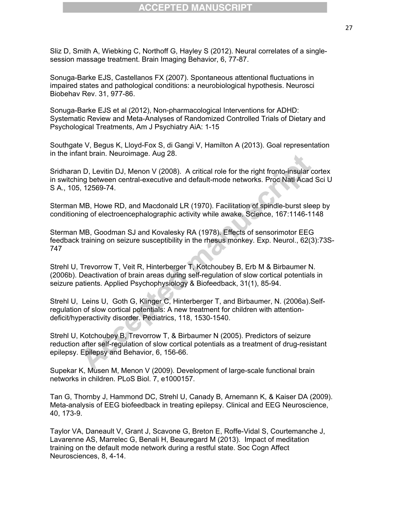Sliz D, Smith A, Wiebking C, Northoff G, Hayley S (2012). Neural correlates of a singlesession massage treatment. Brain Imaging Behavior, 6, 77-87.

Sonuga-Barke EJS, Castellanos FX (2007). Spontaneous attentional fluctuations in impaired states and pathological conditions: a neurobiological hypothesis. Neurosci Biobehav Rev. 31, 977-86.

Sonuga-Barke EJS et al (2012), Non-pharmacological Interventions for ADHD: Systematic Review and Meta-Analyses of Randomized Controlled Trials of Dietary and Psychological Treatments, Am J Psychiatry AiA: 1-15

Southgate V, Begus K, Lloyd-Fox S, di Gangi V, Hamilton A (2013). Goal representation in the infant brain. Neuroimage. Aug 28.

Sridharan D, Levitin DJ, Menon V (2008). A critical role for the right fronto-insular cortex in switching between central-executive and default-mode networks. Proc Natl Acad Sci U S A., 105, 12569-74.

Sterman MB, Howe RD, and Macdonald LR (1970). Facilitation of spindle-burst sleep by conditioning of electroencephalographic activity while awake. Science, 167:1146-1148

Sterman MB, Goodman SJ and Kovalesky RA (1978). Effects of sensorimotor EEG feedback training on seizure susceptibility in the rhesus monkey. Exp. Neurol., 62(3):73S-747

Strehl U, Trevorrow T, Veit R, Hinterberger T, Kotchoubey B, Erb M & Birbaumer N. (2006b). Deactivation of brain areas during self-regulation of slow cortical potentials in seizure patients. Applied Psychophysiology & Biofeedback, 31(1), 85-94.

Strehl U, Leins U, Goth G, Klinger C, Hinterberger T, and Birbaumer, N. (2006a).Selfregulation of slow cortical potentials: A new treatment for children with attentiondeficit/hyperactivity disorder. Pediatrics, 118, 1530-1540.

Strehl U, Kotchoubey B, Trevorrow T, & Birbaumer N (2005). Predictors of seizure reduction after self-regulation of slow cortical potentials as a treatment of drug-resistant epilepsy. Epilepsy and Behavior, 6, 156-66.

Supekar K, Musen M, Menon V (2009). Development of large-scale functional brain networks in children. PLoS Biol. 7, e1000157.

Tan G, Thornby J, Hammond DC, Strehl U, Canady B, Arnemann K, & Kaiser DA (2009). Meta-analysis of EEG biofeedback in treating epilepsy. Clinical and EEG Neuroscience, 40, 173-9.

Taylor VA, Daneault V, Grant J, Scavone G, Breton E, Roffe-Vidal S, Courtemanche J, Lavarenne AS, Marrelec G, Benali H, Beauregard M (2013). Impact of meditation training on the default mode network during a restful state. Soc Cogn Affect Neurosciences, 8, 4-14.